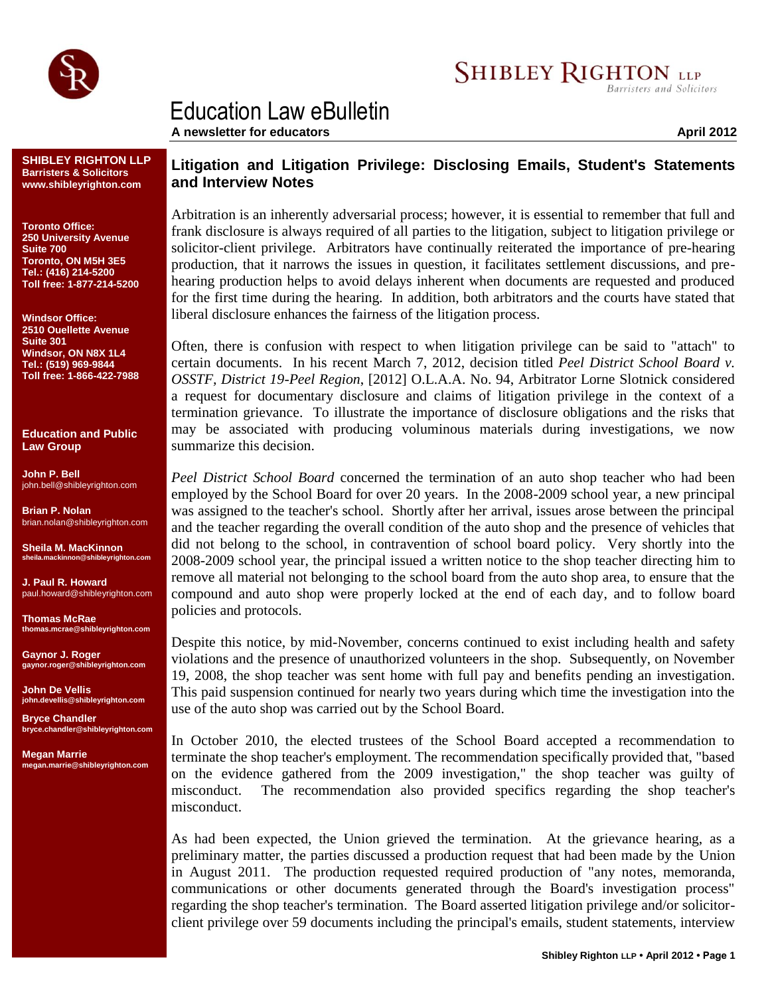

## Education Law eBulletin

**SHIBLEY RIGHTON LLP Barristers & Solicitors www.shibleyrighton.com**

**Toronto Office: 250 University Avenue Suite 700 Toronto, ON M5H 3E5 Tel.: (416) 214-5200 Toll free: 1-877-214-5200**

**Windsor Office: 2510 Ouellette Avenue Suite 301 Windsor, ON N8X 1L4 Tel.: (519) 969-9844 Toll free: 1-866-422-7988**

**Education and Public Law Group**

**John P. Bell** john.bell@shibleyrighton.com

**Brian P. Nolan** brian.nolan@shibleyrighton.com

**Sheila M. MacKinnon sheila.mackinnon@shibleyrighton.com**

**J. Paul R. Howard** paul.howard@shibleyrighton.com

**Thomas McRae thomas.mcrae@shibleyrighton.com**

**Gaynor J. Roger gaynor.roger@shibleyrighton.com**

**John De Vellis john.devellis@shibleyrighton.com**

**Bryce Chandler bryce.chandler@shibleyrighton.com**

**Megan Marrie megan.marrie@shibleyrighton.com**

## **Litigation and Litigation Privilege: Disclosing Emails, Student's Statements and Interview Notes**

Arbitration is an inherently adversarial process; however, it is essential to remember that full and frank disclosure is always required of all parties to the litigation, subject to litigation privilege or solicitor-client privilege. Arbitrators have continually reiterated the importance of pre-hearing production, that it narrows the issues in question, it facilitates settlement discussions, and prehearing production helps to avoid delays inherent when documents are requested and produced for the first time during the hearing. In addition, both arbitrators and the courts have stated that liberal disclosure enhances the fairness of the litigation process.

Often, there is confusion with respect to when litigation privilege can be said to "attach" to certain documents. In his recent March 7, 2012, decision titled *Peel District School Board v. OSSTF, District 19-Peel Region*, [2012] O.L.A.A. No. 94, Arbitrator Lorne Slotnick considered a request for documentary disclosure and claims of litigation privilege in the context of a termination grievance. To illustrate the importance of disclosure obligations and the risks that may be associated with producing voluminous materials during investigations, we now summarize this decision.

*Peel District School Board* concerned the termination of an auto shop teacher who had been employed by the School Board for over 20 years. In the 2008-2009 school year, a new principal was assigned to the teacher's school. Shortly after her arrival, issues arose between the principal and the teacher regarding the overall condition of the auto shop and the presence of vehicles that did not belong to the school, in contravention of school board policy. Very shortly into the 2008-2009 school year, the principal issued a written notice to the shop teacher directing him to remove all material not belonging to the school board from the auto shop area, to ensure that the compound and auto shop were properly locked at the end of each day, and to follow board policies and protocols.

Despite this notice, by mid-November, concerns continued to exist including health and safety violations and the presence of unauthorized volunteers in the shop. Subsequently, on November 19, 2008, the shop teacher was sent home with full pay and benefits pending an investigation. This paid suspension continued for nearly two years during which time the investigation into the use of the auto shop was carried out by the School Board.

In October 2010, the elected trustees of the School Board accepted a recommendation to terminate the shop teacher's employment. The recommendation specifically provided that, "based on the evidence gathered from the 2009 investigation," the shop teacher was guilty of misconduct. The recommendation also provided specifics regarding the shop teacher's misconduct.

As had been expected, the Union grieved the termination. At the grievance hearing, as a preliminary matter, the parties discussed a production request that had been made by the Union in August 2011. The production requested required production of "any notes, memoranda, communications or other documents generated through the Board's investigation process" regarding the shop teacher's termination. The Board asserted litigation privilege and/or solicitorclient privilege over 59 documents including the principal's emails, student statements, interview